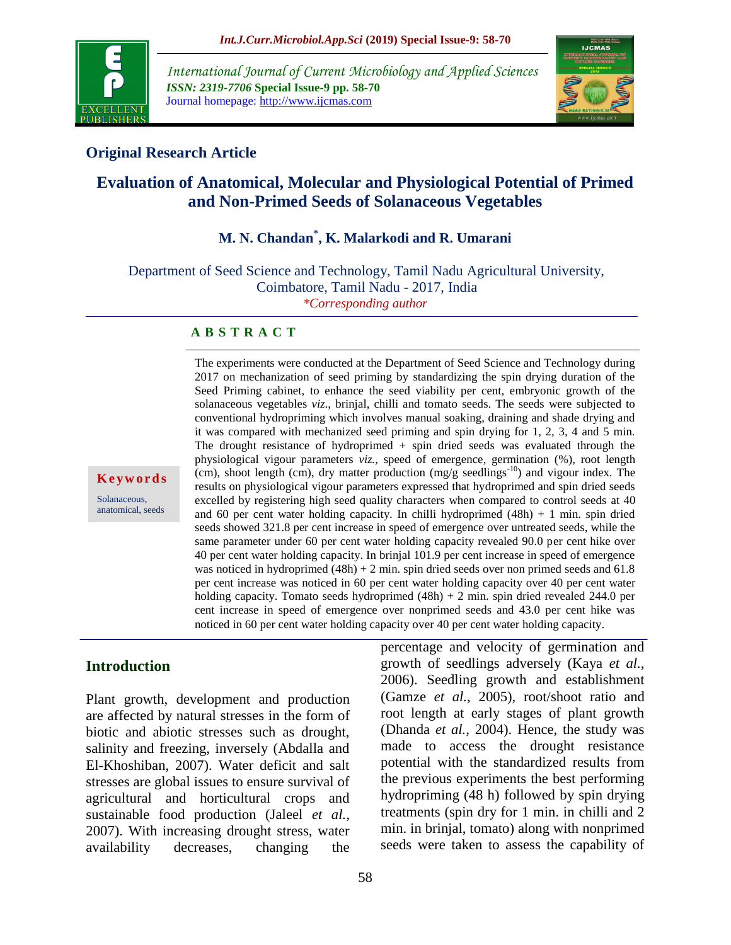

*International Journal of Current Microbiology and Applied Sciences ISSN: 2319-7706* **Special Issue-9 pp. 58-70** Journal homepage: http://www.ijcmas.com



## **Original Research Article**

# **Evaluation of Anatomical, Molecular and Physiological Potential of Primed and Non-Primed Seeds of Solanaceous Vegetables**

# **M. N. Chandan\* , K. Malarkodi and R. Umarani**

Department of Seed Science and Technology, Tamil Nadu Agricultural University, Coimbatore, Tamil Nadu - 2017, India *\*Corresponding author*

#### **A B S T R A C T**

**K e y w o r d s**

Solanaceous, anatomical, seeds 2017 on mechanization of seed priming by standardizing the spin drying duration of the Seed Priming cabinet, to enhance the seed viability per cent, embryonic growth of the solanaceous vegetables *viz*., brinjal, chilli and tomato seeds. The seeds were subjected to conventional hydropriming which involves manual soaking, draining and shade drying and it was compared with mechanized seed priming and spin drying for 1, 2, 3, 4 and 5 min. The drought resistance of hydroprimed + spin dried seeds was evaluated through the physiological vigour parameters *viz.,* speed of emergence, germination (%), root length (cm), shoot length (cm), dry matter production  $(mg/g \, \text{seedlings}^{-10})$  and vigour index. The results on physiological vigour parameters expressed that hydroprimed and spin dried seeds excelled by registering high seed quality characters when compared to control seeds at 40 and 60 per cent water holding capacity. In chilli hydroprimed  $(48h) + 1$  min. spin dried seeds showed 321.8 per cent increase in speed of emergence over untreated seeds, while the same parameter under 60 per cent water holding capacity revealed 90.0 per cent hike over 40 per cent water holding capacity. In brinjal 101.9 per cent increase in speed of emergence was noticed in hydroprimed  $(48h) + 2$  min. spin dried seeds over non primed seeds and 61.8 per cent increase was noticed in 60 per cent water holding capacity over 40 per cent water holding capacity. Tomato seeds hydroprimed  $(48h) + 2$  min. spin dried revealed 244.0 per cent increase in speed of emergence over nonprimed seeds and 43.0 per cent hike was noticed in 60 per cent water holding capacity over 40 per cent water holding capacity.

The experiments were conducted at the Department of Seed Science and Technology during

## **Introduction**

Plant growth, development and production are affected by natural stresses in the form of biotic and abiotic stresses such as drought, salinity and freezing, inversely (Abdalla and El-Khoshiban, 2007). Water deficit and salt stresses are global issues to ensure survival of agricultural and horticultural crops and sustainable food production (Jaleel *et al.,*  2007). With increasing drought stress, water availability decreases, changing the

percentage and velocity of germination and growth of seedlings adversely (Kaya *et al.,*  2006). Seedling growth and establishment (Gamze *et al.,* 2005), root/shoot ratio and root length at early stages of plant growth (Dhanda *et al.,* 2004). Hence, the study was made to access the drought resistance potential with the standardized results from the previous experiments the best performing hydropriming (48 h) followed by spin drying treatments (spin dry for 1 min. in chilli and 2 min. in brinjal, tomato) along with nonprimed seeds were taken to assess the capability of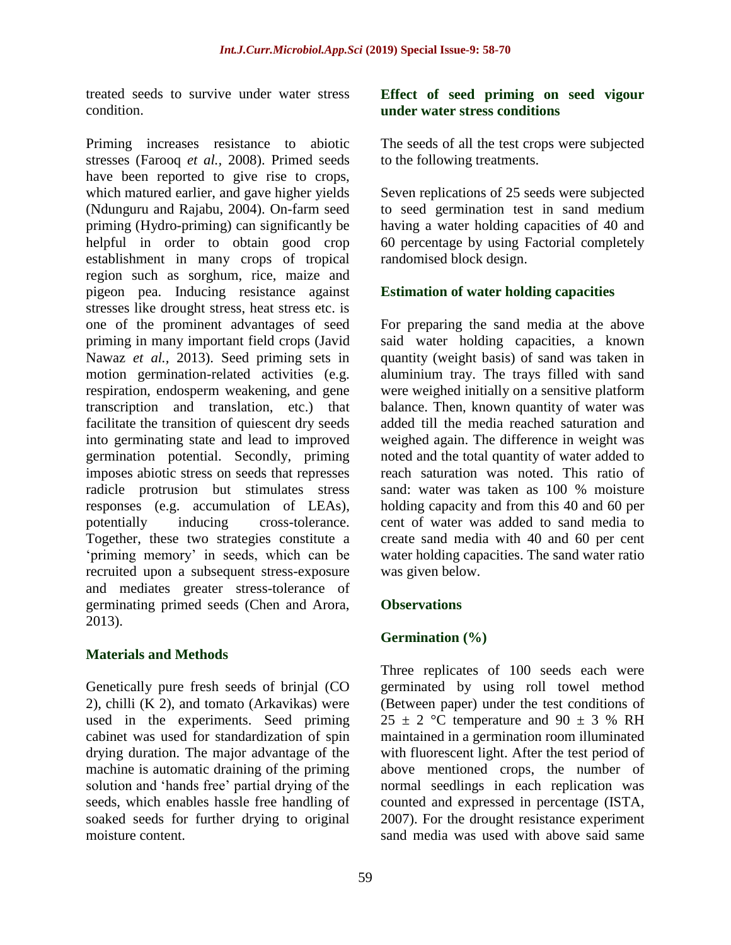treated seeds to survive under water stress condition.

Priming increases resistance to abiotic stresses (Farooq *et al.,* 2008). Primed seeds have been reported to give rise to crops, which matured earlier, and gave higher yields (Ndunguru and Rajabu, 2004). On-farm seed priming (Hydro-priming) can significantly be helpful in order to obtain good crop establishment in many crops of tropical region such as sorghum, rice, maize and pigeon pea. Inducing resistance against stresses like drought stress, heat stress etc. is one of the prominent advantages of seed priming in many important field crops (Javid Nawaz *et al.,* 2013). Seed priming sets in motion germination-related activities (e.g. respiration, endosperm weakening, and gene transcription and translation, etc.) that facilitate the transition of quiescent dry seeds into germinating state and lead to improved germination potential. Secondly, priming imposes abiotic stress on seeds that represses radicle protrusion but stimulates stress responses (e.g. accumulation of LEAs), potentially inducing cross-tolerance. Together, these two strategies constitute a 'priming memory' in seeds, which can be recruited upon a subsequent stress-exposure and mediates greater stress-tolerance of germinating primed seeds (Chen and Arora, 2013).

## **Materials and Methods**

Genetically pure fresh seeds of brinjal (CO 2), chilli (K 2), and tomato (Arkavikas) were used in the experiments. Seed priming cabinet was used for standardization of spin drying duration. The major advantage of the machine is automatic draining of the priming solution and 'hands free' partial drying of the seeds, which enables hassle free handling of soaked seeds for further drying to original moisture content.

### **Effect of seed priming on seed vigour under water stress conditions**

The seeds of all the test crops were subjected to the following treatments.

Seven replications of 25 seeds were subjected to seed germination test in sand medium having a water holding capacities of 40 and 60 percentage by using Factorial completely randomised block design.

## **Estimation of water holding capacities**

For preparing the sand media at the above said water holding capacities, a known quantity (weight basis) of sand was taken in aluminium tray. The trays filled with sand were weighed initially on a sensitive platform balance. Then, known quantity of water was added till the media reached saturation and weighed again. The difference in weight was noted and the total quantity of water added to reach saturation was noted. This ratio of sand: water was taken as 100 % moisture holding capacity and from this 40 and 60 per cent of water was added to sand media to create sand media with 40 and 60 per cent water holding capacities. The sand water ratio was given below.

## **Observations**

## **Germination (%)**

Three replicates of 100 seeds each were germinated by using roll towel method (Between paper) under the test conditions of  $25 \pm 2$  °C temperature and 90  $\pm$  3 % RH maintained in a germination room illuminated with fluorescent light. After the test period of above mentioned crops, the number of normal seedlings in each replication was counted and expressed in percentage (ISTA, 2007). For the drought resistance experiment sand media was used with above said same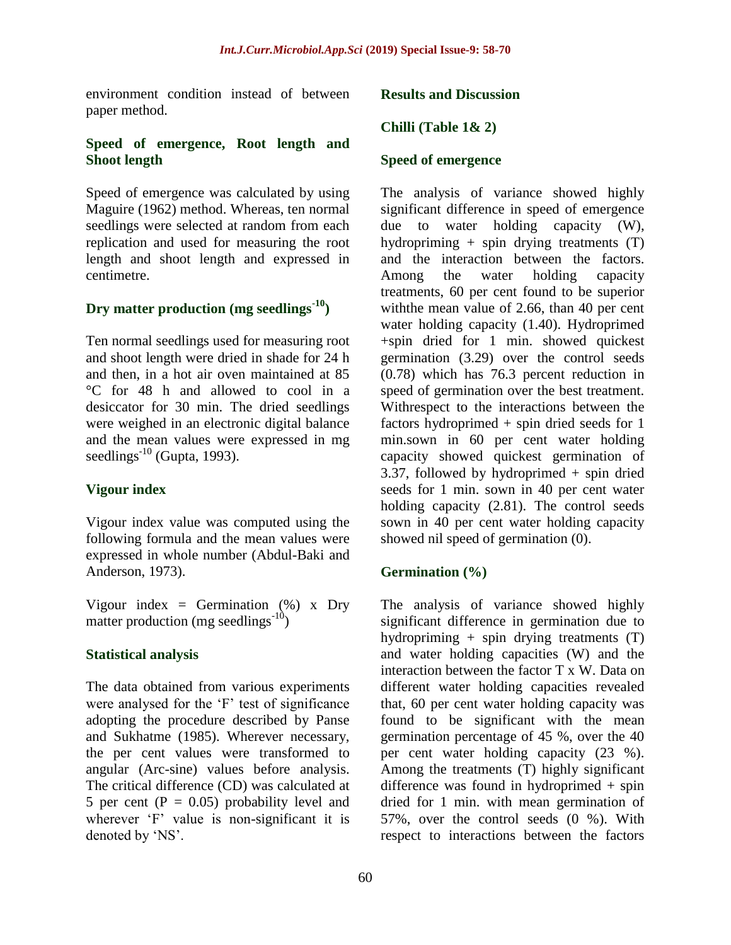environment condition instead of between paper method.

### **Speed of emergence, Root length and Shoot length**

Speed of emergence was calculated by using Maguire (1962) method. Whereas, ten normal seedlings were selected at random from each replication and used for measuring the root length and shoot length and expressed in centimetre.

## **Dry matter production (mg seedlings-10)**

Ten normal seedlings used for measuring root and shoot length were dried in shade for 24 h and then, in a hot air oven maintained at 85 °C for 48 h and allowed to cool in a desiccator for 30 min. The dried seedlings were weighed in an electronic digital balance and the mean values were expressed in mg seedlings $^{-10}$  (Gupta, 1993).

## **Vigour index**

Vigour index value was computed using the following formula and the mean values were expressed in whole number (Abdul-Baki and Anderson, 1973).

Vigour index = Germination  $(\%)$  x Dry matter production (mg seedlings $^{-10}$ )

## **Statistical analysis**

The data obtained from various experiments were analysed for the 'F' test of significance adopting the procedure described by Panse and Sukhatme (1985). Wherever necessary, the per cent values were transformed to angular (Arc-sine) values before analysis. The critical difference (CD) was calculated at 5 per cent ( $P = 0.05$ ) probability level and wherever 'F' value is non-significant it is denoted by 'NS'.

#### **Results and Discussion**

### **Chilli (Table 1& 2)**

#### **Speed of emergence**

The analysis of variance showed highly significant difference in speed of emergence due to water holding capacity (W), hydropriming + spin drying treatments (T) and the interaction between the factors. Among the water holding capacity treatments, 60 per cent found to be superior withthe mean value of 2.66, than 40 per cent water holding capacity (1.40). Hydroprimed +spin dried for 1 min. showed quickest germination (3.29) over the control seeds (0.78) which has 76.3 percent reduction in speed of germination over the best treatment. Withrespect to the interactions between the factors hydroprimed + spin dried seeds for 1 min.sown in 60 per cent water holding capacity showed quickest germination of 3.37, followed by hydroprimed  $+$  spin dried seeds for 1 min. sown in 40 per cent water holding capacity (2.81). The control seeds sown in 40 per cent water holding capacity showed nil speed of germination (0).

#### **Germination (%)**

The analysis of variance showed highly significant difference in germination due to hydropriming + spin drying treatments (T) and water holding capacities (W) and the interaction between the factor T x W. Data on different water holding capacities revealed that, 60 per cent water holding capacity was found to be significant with the mean germination percentage of 45 %, over the 40 per cent water holding capacity (23 %). Among the treatments (T) highly significant difference was found in hydroprimed + spin dried for 1 min. with mean germination of 57%, over the control seeds (0 %). With respect to interactions between the factors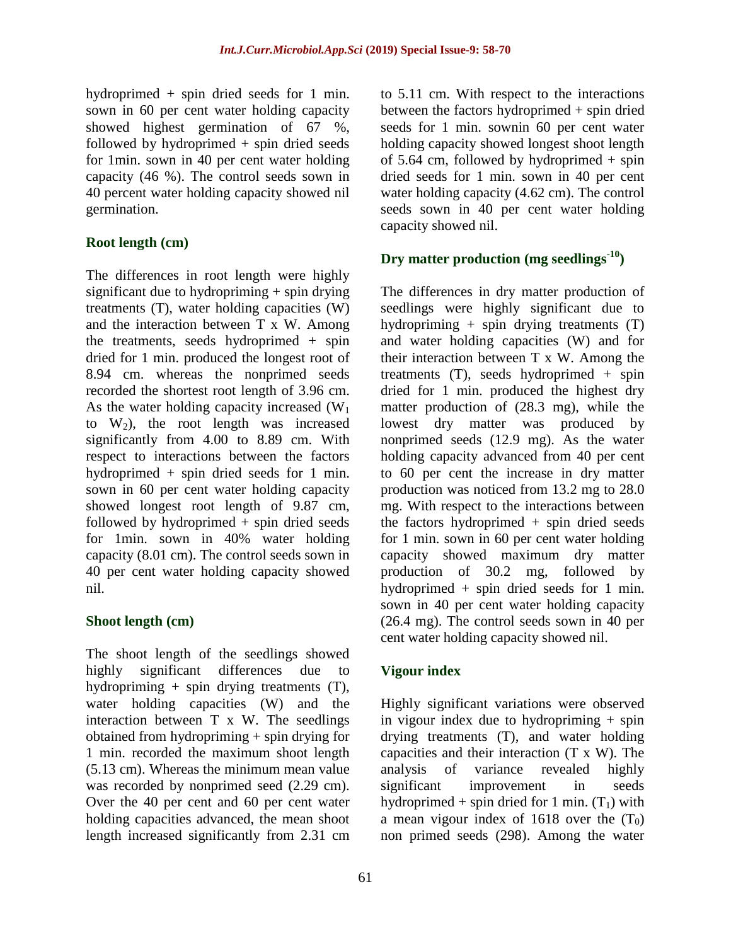hydroprimed + spin dried seeds for 1 min. sown in 60 per cent water holding capacity showed highest germination of 67 %, followed by hydroprimed + spin dried seeds for 1min. sown in 40 per cent water holding capacity (46 %). The control seeds sown in 40 percent water holding capacity showed nil germination.

## **Root length (cm)**

The differences in root length were highly significant due to hydropriming + spin drying treatments (T), water holding capacities (W) and the interaction between T x W. Among the treatments, seeds hydroprimed + spin dried for 1 min. produced the longest root of 8.94 cm. whereas the nonprimed seeds recorded the shortest root length of 3.96 cm. As the water holding capacity increased  $(W_1)$ to  $W_2$ ), the root length was increased significantly from 4.00 to 8.89 cm. With respect to interactions between the factors hydroprimed + spin dried seeds for 1 min. sown in 60 per cent water holding capacity showed longest root length of 9.87 cm, followed by hydroprimed + spin dried seeds for 1min. sown in 40% water holding capacity (8.01 cm). The control seeds sown in 40 per cent water holding capacity showed nil.

## **Shoot length (cm)**

The shoot length of the seedlings showed highly significant differences due to hydropriming + spin drying treatments (T), water holding capacities (W) and the interaction between T x W. The seedlings obtained from hydropriming + spin drying for 1 min. recorded the maximum shoot length (5.13 cm). Whereas the minimum mean value was recorded by nonprimed seed (2.29 cm). Over the 40 per cent and 60 per cent water holding capacities advanced, the mean shoot length increased significantly from 2.31 cm

to 5.11 cm. With respect to the interactions between the factors hydroprimed + spin dried seeds for 1 min. sownin 60 per cent water holding capacity showed longest shoot length of 5.64 cm, followed by hydroprimed  $+$  spin dried seeds for 1 min. sown in 40 per cent water holding capacity (4.62 cm). The control seeds sown in 40 per cent water holding capacity showed nil.

# **Dry matter production (mg seedlings-10)**

The differences in dry matter production of seedlings were highly significant due to hydropriming + spin drying treatments (T) and water holding capacities (W) and for their interaction between T x W. Among the treatments  $(T)$ , seeds hydroprimed + spin dried for 1 min. produced the highest dry matter production of (28.3 mg), while the lowest dry matter was produced by nonprimed seeds (12.9 mg). As the water holding capacity advanced from 40 per cent to 60 per cent the increase in dry matter production was noticed from 13.2 mg to 28.0 mg. With respect to the interactions between the factors hydroprimed  $+$  spin dried seeds for 1 min. sown in 60 per cent water holding capacity showed maximum dry matter production of 30.2 mg, followed by hydroprimed + spin dried seeds for 1 min. sown in 40 per cent water holding capacity (26.4 mg). The control seeds sown in 40 per cent water holding capacity showed nil.

## **Vigour index**

Highly significant variations were observed in vigour index due to hydropriming  $+$  spin drying treatments (T), and water holding capacities and their interaction (T x W). The analysis of variance revealed highly significant improvement in seeds hydroprimed + spin dried for 1 min.  $(T_1)$  with a mean vigour index of 1618 over the  $(T_0)$ non primed seeds (298). Among the water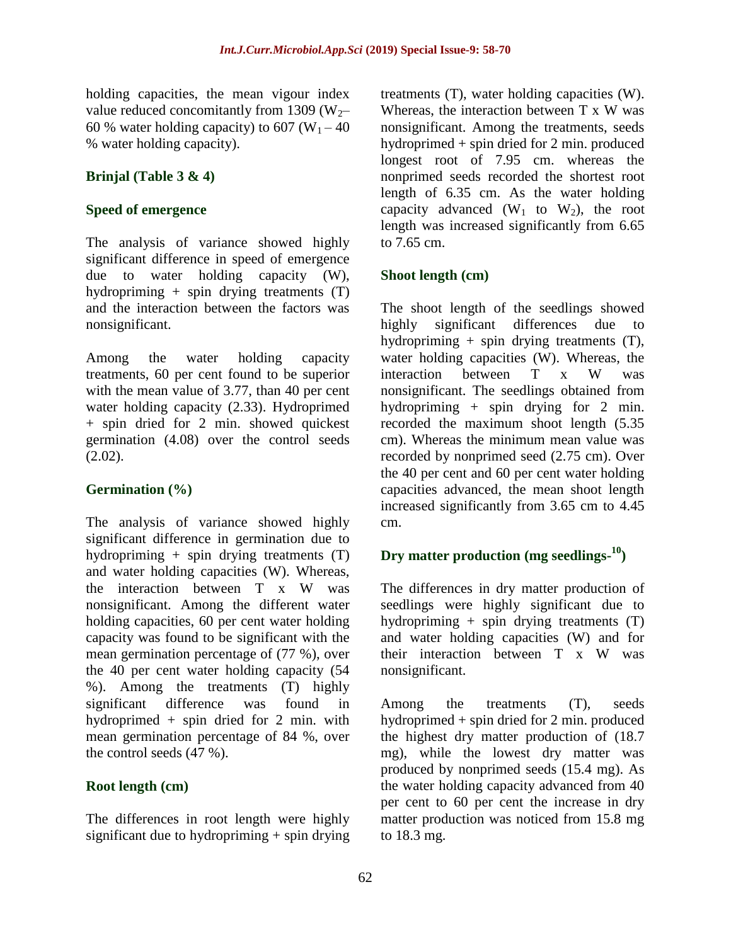holding capacities, the mean vigour index value reduced concomitantly from 1309 ( $W_2$ – 60 % water holding capacity) to 607 ( $W_1$  – 40 % water holding capacity).

### **Brinjal (Table 3 & 4)**

### **Speed of emergence**

The analysis of variance showed highly significant difference in speed of emergence due to water holding capacity (W), hydropriming + spin drying treatments (T) and the interaction between the factors was nonsignificant.

Among the water holding capacity treatments, 60 per cent found to be superior with the mean value of 3.77, than 40 per cent water holding capacity (2.33). Hydroprimed + spin dried for 2 min. showed quickest germination (4.08) over the control seeds  $(2.02)$ .

## **Germination (%)**

The analysis of variance showed highly significant difference in germination due to hydropriming  $+$  spin drying treatments  $(T)$ and water holding capacities (W). Whereas, the interaction between T x W was nonsignificant. Among the different water holding capacities, 60 per cent water holding capacity was found to be significant with the mean germination percentage of (77 %), over the 40 per cent water holding capacity (54 %). Among the treatments (T) highly significant difference was found in hydroprimed + spin dried for 2 min. with mean germination percentage of 84 %, over the control seeds (47 %).

## **Root length (cm)**

The differences in root length were highly significant due to hydropriming  $+$  spin drying treatments (T), water holding capacities (W). Whereas, the interaction between T x W was nonsignificant. Among the treatments, seeds hydroprimed + spin dried for 2 min. produced longest root of 7.95 cm. whereas the nonprimed seeds recorded the shortest root length of 6.35 cm. As the water holding capacity advanced  $(W_1$  to  $W_2$ ), the root length was increased significantly from 6.65 to 7.65 cm.

## **Shoot length (cm)**

The shoot length of the seedlings showed highly significant differences due to hydropriming + spin drying treatments (T), water holding capacities (W). Whereas, the interaction between T x W was nonsignificant. The seedlings obtained from hydropriming + spin drying for 2 min. recorded the maximum shoot length (5.35 cm). Whereas the minimum mean value was recorded by nonprimed seed (2.75 cm). Over the 40 per cent and 60 per cent water holding capacities advanced, the mean shoot length increased significantly from 3.65 cm to 4.45 cm.

## **Dry matter production (mg seedlings-10)**

The differences in dry matter production of seedlings were highly significant due to hydropriming + spin drying treatments  $(T)$ and water holding capacities (W) and for their interaction between T x W was nonsignificant.

Among the treatments (T), seeds hydroprimed + spin dried for 2 min. produced the highest dry matter production of (18.7 mg), while the lowest dry matter was produced by nonprimed seeds (15.4 mg). As the water holding capacity advanced from 40 per cent to 60 per cent the increase in dry matter production was noticed from 15.8 mg to 18.3 mg.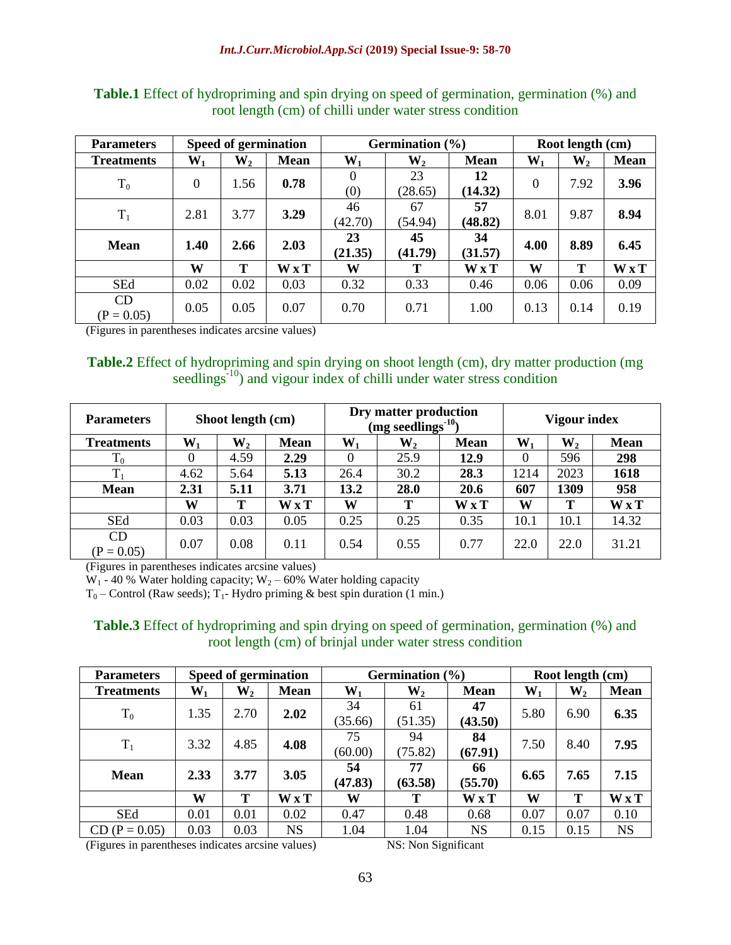| <b>Parameters</b>  |                  | <b>Speed of germination</b> |             |                 | Germination $(\% )$ |               |          | Root length (cm) |              |  |
|--------------------|------------------|-----------------------------|-------------|-----------------|---------------------|---------------|----------|------------------|--------------|--|
| <b>Treatments</b>  | $\mathbf{W_{1}}$ | $\mathbf{W}_{2}$            | <b>Mean</b> | $W_1$           | $\mathbf{W}_{2}$    | <b>Mean</b>   | $W_1$    | $W_2$            | <b>Mean</b>  |  |
| $T_0$              | $\Omega$         | 1.56                        | 0.78        | $\theta$<br>(0) | 23<br>(28.65)       | 12<br>(14.32) | $\theta$ | 7.92             | 3.96         |  |
| $T_1$              | 2.81             | 3.77                        | 3.29        | 46<br>(42.70)   | 67<br>(54.94)       | 57<br>(48.82) | 8.01     | 9.87             | 8.94         |  |
| <b>Mean</b>        | 1.40             | 2.66                        | 2.03        | 23<br>(21.35)   | 45<br>(41.79)       | 34<br>(31.57) | 4.00     | 8.89             | 6.45         |  |
|                    | W                | Т                           | WxT         | W               | T                   | <b>WxT</b>    | W        | T                | $W \times T$ |  |
| <b>SEd</b>         | 0.02             | 0.02                        | 0.03        | 0.32            | 0.33                | 0.46          | 0.06     | 0.06             | 0.09         |  |
| CD<br>$(P = 0.05)$ | 0.05             | 0.05                        | 0.07        | 0.70            | 0.71                | 1.00          | 0.13     | 0.14             | 0.19         |  |

**Table.1** Effect of hydropriming and spin drying on speed of germination, germination (%) and root length (cm) of chilli under water stress condition

(Figures in parentheses indicates arcsine values)

**Table.2** Effect of hydropriming and spin drying on shoot length (cm), dry matter production (mg seedlings<sup>-10</sup>) and vigour index of chilli under water stress condition

| <b>Parameters</b>  | Shoot length (cm) |                |             |                | Dry matter production<br>(mg seedlings <sup>-10</sup> ) | Vigour index |                  |                  |             |
|--------------------|-------------------|----------------|-------------|----------------|---------------------------------------------------------|--------------|------------------|------------------|-------------|
| <b>Treatments</b>  | $\mathbf{W_{1}}$  | $\mathbf{W}_2$ | <b>Mean</b> | $\mathbf{W}_1$ | $\mathbf{W}_{2}$                                        | <b>Mean</b>  | $\mathbf{W_{1}}$ | $\mathbf{W}_{2}$ | <b>Mean</b> |
| $\rm T_{0}$        | 0                 | 4.59           | 2.29        | $\Omega$       | 25.9                                                    | 12.9         | 0                | 596              | 298         |
| $T_1$              | 4.62              | 5.64           | 5.13        | 26.4           | 30.2                                                    | 28.3         | 1214             | 2023             | 1618        |
| <b>Mean</b>        | 2.31              | 5.11           | 3.71        | 13.2           | 28.0                                                    | 20.6         | 607              | 1309             | 958         |
|                    | W                 | Т              | <b>WxT</b>  | W              | т                                                       | <b>WxT</b>   | W                | т                | <b>WxT</b>  |
| <b>SEd</b>         | 0.03              | 0.03           | 0.05        | 0.25           | 0.25                                                    | 0.35         | 10.1             | 10.1             | 14.32       |
| CD<br>$(P = 0.05)$ | 0.07              | 0.08           | 0.11        | 0.54           | 0.55                                                    | 0.77         | 22.0             | 22.0             | 31.21       |

(Figures in parentheses indicates arcsine values)

W<sub>1</sub> - 40 % Water holding capacity; W<sub>2</sub> – 60% Water holding capacity

 $T_0$  – Control (Raw seeds);  $T_1$ - Hydro priming & best spin duration (1 min.)

**Table.3** Effect of hydropriming and spin drying on speed of germination, germination (%) and root length (cm) of brinjal under water stress condition

| <b>Parameters</b> | <b>Speed of germination</b> |                  |             | Germination $(\% )$ |               |               | Root length (cm) |                  |                                    |
|-------------------|-----------------------------|------------------|-------------|---------------------|---------------|---------------|------------------|------------------|------------------------------------|
| <b>Treatments</b> | $\mathbf{W}_{1}$            | $\mathbf{W}_{2}$ | <b>Mean</b> | $W_1$               | $W_2$         | <b>Mean</b>   | $\mathbf{W}_{1}$ | $\mathbf{W}_{2}$ | <b>Mean</b>                        |
| $T_0$             | 1.35                        | 2.70             | 2.02        | 34<br>(35.66)       | 61<br>(51.35) | 47<br>(43.50) | 5.80             | 6.90             | 6.35                               |
| $T_1$             | 3.32                        | 4.85             | 4.08        | 75<br>(60.00)       | 94<br>(75.82) | 84<br>(67.91) | 7.50             | 8.40             | 7.95                               |
| <b>Mean</b>       | 2.33                        | 3.77             | 3.05        | 54<br>(47.83)       | 77<br>(63.58) | 66<br>(55.70) | 6.65             | 7.65             | 7.15                               |
|                   | W                           | T                | W x T       | W                   | Т             | WxT           | W                | Т                | $\mathbf{W} \mathbf{x} \mathbf{T}$ |
| <b>SEd</b>        | 0.01                        | 0.01             | 0.02        | 0.47                | 0.48          | 0.68          | 0.07             | 0.07             | 0.10                               |
| $CD (P = 0.05)$   | 0.03                        | 0.03             | <b>NS</b>   | 1.04                | 1.04          | <b>NS</b>     | 0.15             | 0.15             | <b>NS</b>                          |

(Figures in parentheses indicates arcsine values) NS: Non Significant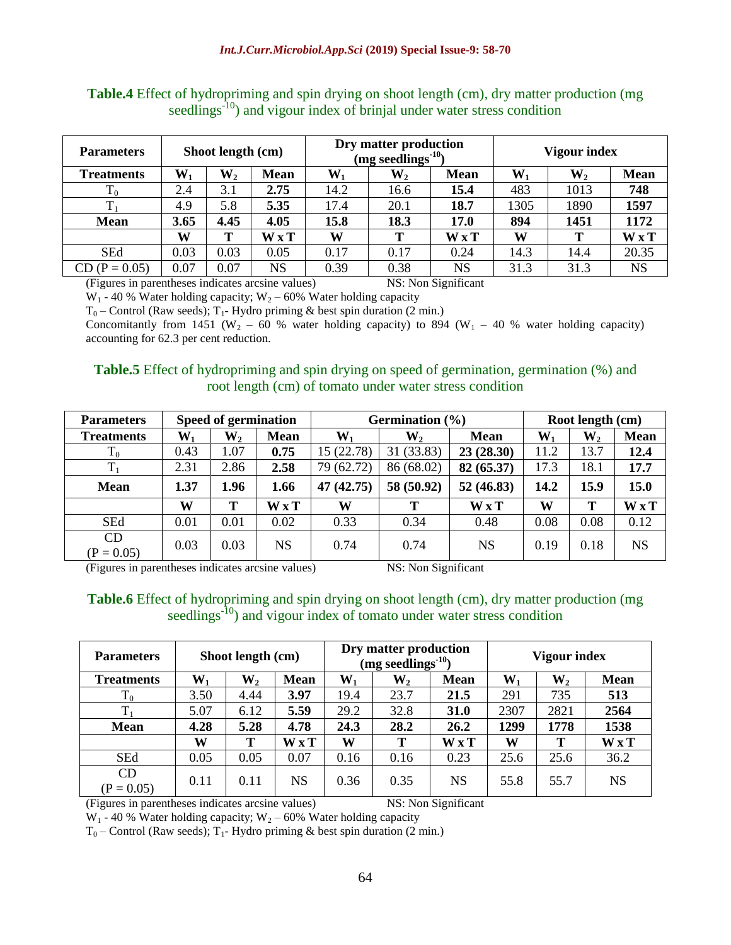| <b>Parameters</b> |       | Shoot length (cm) |             |                | Dry matter production<br>(mg seedlings <sup>-10</sup> ) |             | Vigour index |                  |             |
|-------------------|-------|-------------------|-------------|----------------|---------------------------------------------------------|-------------|--------------|------------------|-------------|
| <b>Treatments</b> | $W_1$ | $\mathbf{W_{2}}$  | <b>Mean</b> | $\mathbf{W}_1$ | $\mathbf{W_{2}}$                                        | <b>Mean</b> | $W_1$        | $\mathbf{W}_{2}$ | <b>Mean</b> |
| $T_0$             | 2.4   | 3.1               | 2.75        | 14.2           | 16.6                                                    | 15.4        | 483          | 1013             | 748         |
|                   | 4.9   | 5.8               | 5.35        | 17.4           | 20.1                                                    | 18.7        | 1305         | 1890             | 1597        |
| <b>Mean</b>       | 3.65  | 4.45              | 4.05        | 15.8           | 18.3                                                    | 17.0        | 894          | 1451             | 1172        |
|                   | W     | T                 | <b>WxT</b>  | W              | т                                                       | <b>WxT</b>  | W            | т                | WxT         |
| <b>SEd</b>        | 0.03  | 0.03              | 0.05        | 0.17           | 0.17                                                    | 0.24        | 14.3         | 14.4             | 20.35       |
| $(P = 0.05)$      | 0.07  | 0.07              | <b>NS</b>   | 0.39           | 0.38                                                    | NS          | 31.3         | 31.3             | <b>NS</b>   |

**Table.4** Effect of hydropriming and spin drying on shoot length (cm), dry matter production (mg seedlings<sup>-10</sup>) and vigour index of brinjal under water stress condition

(Figures in parentheses indicates arcsine values) NS: Non Significant

 $W_1$  - 40 % Water holding capacity;  $W_2$  – 60% Water holding capacity

 $T_0$  – Control (Raw seeds);  $T_1$ - Hydro priming & best spin duration (2 min.)

Concomitantly from 1451 (W<sub>2</sub> – 60 % water holding capacity) to 894 (W<sub>1</sub> – 40 % water holding capacity) accounting for 62.3 per cent reduction.

## **Table.5** Effect of hydropriming and spin drying on speed of germination, germination (%) and root length (cm) of tomato under water stress condition

| <b>Parameters</b>  |                | Speed of germination |             | Germination $(\% )$ | Root length (cm) |              |       |                  |             |
|--------------------|----------------|----------------------|-------------|---------------------|------------------|--------------|-------|------------------|-------------|
| <b>Treatments</b>  | $\mathbf{W}_1$ | $\mathbf{W}_{2}$     | <b>Mean</b> | $W_1$               | $\mathbf{W}_{2}$ | <b>Mean</b>  | $W_1$ | $\mathbf{W}_{2}$ | <b>Mean</b> |
| $\rm T_{0}$        | 0.43           | 1.07                 | 0.75        | 15 (22.78)          | 31 (33.83)       | 23(28.30)    | 11.2  | 13.7             | 12.4        |
| $T_1$              | 2.31           | 2.86                 | 2.58        | 79 (62.72)          | 86 (68.02)       | 82 (65.37)   | 17.3  | 18.1             | 17.7        |
| <b>Mean</b>        | 1.37           | 1.96                 | 1.66        | 47 (42.75)          | 58 (50.92)       | 52(46.83)    | 14.2  | 15.9             | 15.0        |
|                    | W              | т                    | <b>WxT</b>  | W                   | T                | $W \times T$ | W     | T                | <b>WxT</b>  |
| <b>SEd</b>         | 0.01           | 0.01                 | 0.02        | 0.33                | 0.34             | 0.48         | 0.08  | 0.08             | 0.12        |
| CD<br>$(P = 0.05)$ | 0.03           | 0.03                 | NS          | 0.74                | 0.74             | <b>NS</b>    | 0.19  | 0.18             | <b>NS</b>   |

(Figures in parentheses indicates arcsine values) NS: Non Significant

#### **Table.6** Effect of hydropriming and spin drying on shoot length (cm), dry matter production (mg seedlings $\frac{1}{10}$ ) and vigour index of tomato under water stress condition

| <b>Parameters</b>  | Shoot length (cm) |                  |             |       | Dry matter production<br>(mg seedlings <sup>-10</sup> ) |             | <b>Vigour index</b> |                  |             |
|--------------------|-------------------|------------------|-------------|-------|---------------------------------------------------------|-------------|---------------------|------------------|-------------|
| <b>Treatments</b>  | $W_1$             | $\mathbf{W}_{2}$ | <b>Mean</b> | $W_1$ | $\mathbf{W}_{2}$                                        | <b>Mean</b> | $\mathbf{W}_{1}$    | $\mathbf{W}_{2}$ | <b>Mean</b> |
| $\rm T_0$          | 3.50              | 4.44             | 3.97        | 19.4  | 23.7                                                    | 21.5        | 291                 | 735              | 513         |
| $T_1$              | 5.07              | 6.12             | 5.59        | 29.2  | 32.8                                                    | 31.0        | 2307                | 2821             | 2564        |
| <b>Mean</b>        | 4.28              | 5.28             | 4.78        | 24.3  | 28.2                                                    | 26.2        | 1299                | 1778             | 1538        |
|                    | W                 | Т                | WxT         | W     | Т                                                       | <b>WxT</b>  | W                   | Т                | <b>WxT</b>  |
| <b>SEd</b>         | 0.05              | 0.05             | 0.07        | 0.16  | 0.16                                                    | 0.23        | 25.6                | 25.6             | 36.2        |
| CD<br>$(P = 0.05)$ | 0.11              | 0.11             | NS          | 0.36  | 0.35                                                    | NS          | 55.8                | 55.7             | <b>NS</b>   |

(Figures in parentheses indicates arcsine values) NS: Non Significant

 $W_1$  - 40 % Water holding capacity;  $W_2$  – 60% Water holding capacity

 $T_0$  – Control (Raw seeds);  $T_1$ - Hydro priming & best spin duration (2 min.)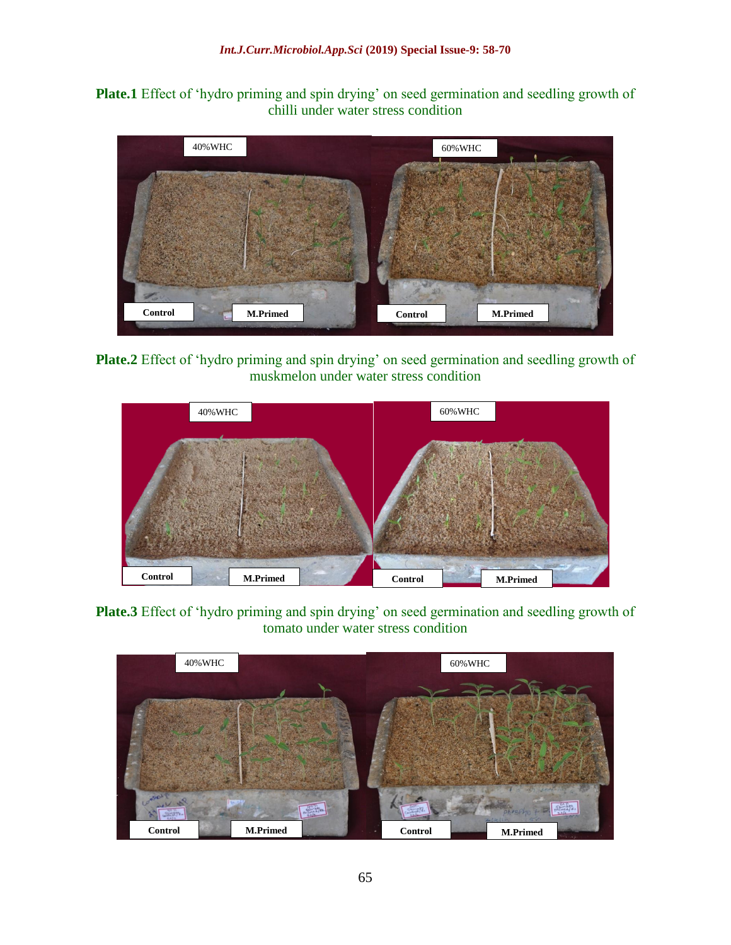**Plate.1** Effect of 'hydro priming and spin drying' on seed germination and seedling growth of chilli under water stress condition



**Plate.2** Effect of 'hydro priming and spin drying' on seed germination and seedling growth of muskmelon under water stress condition



**Plate.3** Effect of 'hydro priming and spin drying' on seed germination and seedling growth of tomato under water stress condition

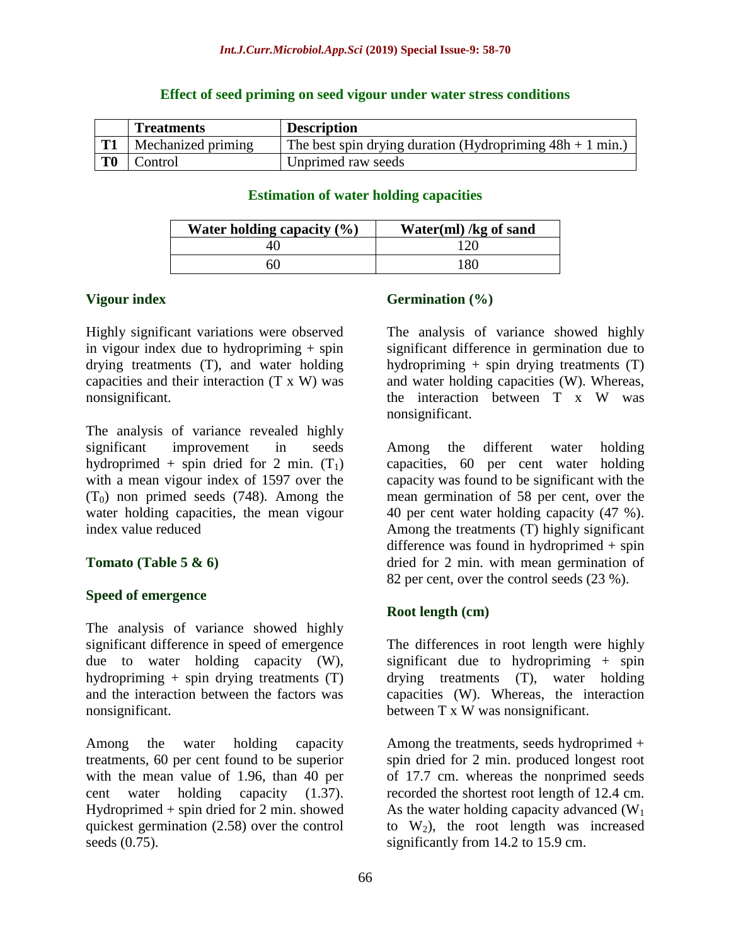|    | <b>Treatments</b>  | <b>Description</b>                                          |
|----|--------------------|-------------------------------------------------------------|
|    | Mechanized priming | The best spin drying duration (Hydropriming $48h + 1$ min.) |
| T0 | Control            | Unprimed raw seeds                                          |

#### **Effect of seed priming on seed vigour under water stress conditions**

#### **Estimation of water holding capacities**

| Water holding capacity $(\% )$ | Water $(ml)$ /kg of sand |
|--------------------------------|--------------------------|
|                                |                          |
| 50                             | 180                      |

### **Vigour index**

Highly significant variations were observed in vigour index due to hydropriming  $+$  spin drying treatments (T), and water holding capacities and their interaction (T x W) was nonsignificant.

The analysis of variance revealed highly significant improvement in seeds hydroprimed + spin dried for 2 min.  $(T_1)$ with a mean vigour index of 1597 over the  $(T_0)$  non primed seeds (748). Among the water holding capacities, the mean vigour index value reduced

#### **Tomato (Table 5 & 6)**

#### **Speed of emergence**

The analysis of variance showed highly significant difference in speed of emergence due to water holding capacity (W), hydropriming  $+$  spin drying treatments (T) and the interaction between the factors was nonsignificant.

Among the water holding capacity treatments, 60 per cent found to be superior with the mean value of 1.96, than 40 per cent water holding capacity (1.37). Hydroprimed + spin dried for 2 min. showed quickest germination (2.58) over the control seeds (0.75).

## **Germination (%)**

The analysis of variance showed highly significant difference in germination due to hydropriming  $+$  spin drying treatments  $(T)$ and water holding capacities (W). Whereas, the interaction between T x W was nonsignificant.

Among the different water holding capacities, 60 per cent water holding capacity was found to be significant with the mean germination of 58 per cent, over the 40 per cent water holding capacity (47 %). Among the treatments (T) highly significant difference was found in hydroprimed + spin dried for 2 min. with mean germination of 82 per cent, over the control seeds (23 %).

## **Root length (cm)**

The differences in root length were highly significant due to hydropriming  $+$  spin drying treatments (T), water holding capacities (W). Whereas, the interaction between T x W was nonsignificant.

Among the treatments, seeds hydroprimed + spin dried for 2 min. produced longest root of 17.7 cm. whereas the nonprimed seeds recorded the shortest root length of 12.4 cm. As the water holding capacity advanced  $(W_1)$ to  $W_2$ ), the root length was increased significantly from 14.2 to 15.9 cm.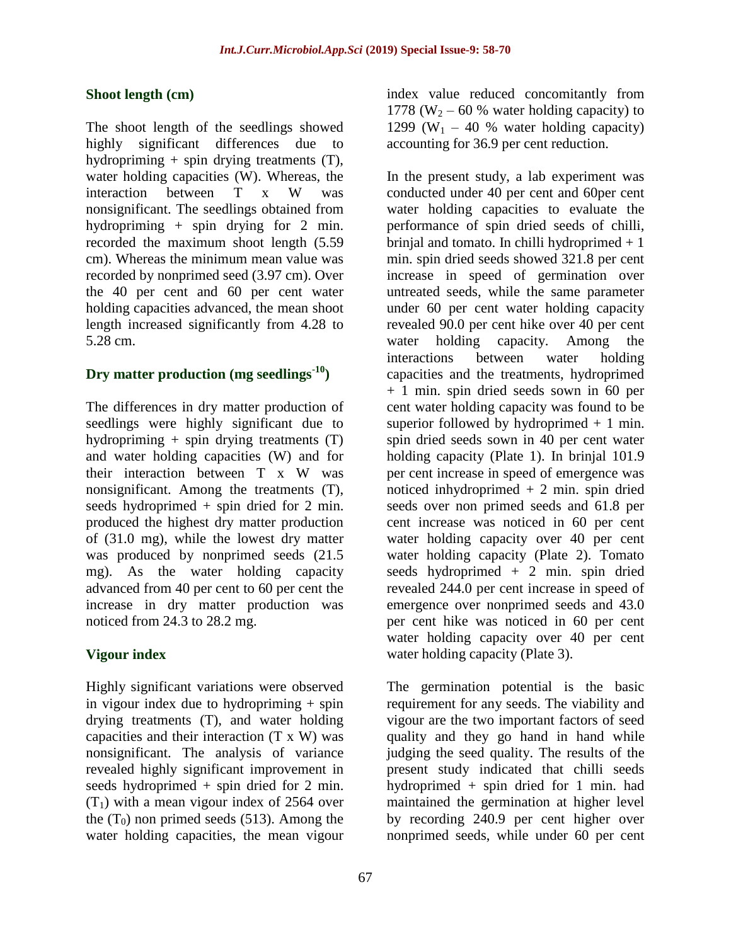## **Shoot length (cm)**

The shoot length of the seedlings showed highly significant differences due to hydropriming  $+$  spin drying treatments  $(T)$ , water holding capacities (W). Whereas, the interaction between T x W was nonsignificant. The seedlings obtained from hydropriming + spin drying for 2 min. recorded the maximum shoot length (5.59 cm). Whereas the minimum mean value was recorded by nonprimed seed (3.97 cm). Over the 40 per cent and 60 per cent water holding capacities advanced, the mean shoot length increased significantly from 4.28 to 5.28 cm.

## **Dry matter production (mg seedlings-10)**

The differences in dry matter production of seedlings were highly significant due to hydropriming + spin drying treatments (T) and water holding capacities (W) and for their interaction between T x W was nonsignificant. Among the treatments (T), seeds hydroprimed + spin dried for 2 min. produced the highest dry matter production of (31.0 mg), while the lowest dry matter was produced by nonprimed seeds (21.5 mg). As the water holding capacity advanced from 40 per cent to 60 per cent the increase in dry matter production was noticed from 24.3 to 28.2 mg.

## **Vigour index**

Highly significant variations were observed in vigour index due to hydropriming  $+$  spin drying treatments (T), and water holding capacities and their interaction (T x W) was nonsignificant. The analysis of variance revealed highly significant improvement in seeds hydroprimed + spin dried for 2 min.  $(T_1)$  with a mean vigour index of 2564 over the  $(T_0)$  non primed seeds (513). Among the water holding capacities, the mean vigour

index value reduced concomitantly from 1778 (W<sub>2</sub> – 60 % water holding capacity) to 1299 (W<sub>1</sub> – 40 % water holding capacity) accounting for 36.9 per cent reduction.

In the present study, a lab experiment was conducted under 40 per cent and 60per cent water holding capacities to evaluate the performance of spin dried seeds of chilli, brinjal and tomato. In chilli hydroprimed  $+1$ min. spin dried seeds showed 321.8 per cent increase in speed of germination over untreated seeds, while the same parameter under 60 per cent water holding capacity revealed 90.0 per cent hike over 40 per cent water holding capacity. Among the interactions between water holding capacities and the treatments, hydroprimed + 1 min. spin dried seeds sown in 60 per cent water holding capacity was found to be superior followed by hydroprimed  $+ 1$  min. spin dried seeds sown in 40 per cent water holding capacity (Plate 1). In brinjal 101.9 per cent increase in speed of emergence was noticed inhydroprimed  $+2$  min. spin dried seeds over non primed seeds and 61.8 per cent increase was noticed in 60 per cent water holding capacity over 40 per cent water holding capacity (Plate 2). Tomato seeds hydroprimed + 2 min. spin dried revealed 244.0 per cent increase in speed of emergence over nonprimed seeds and 43.0 per cent hike was noticed in 60 per cent water holding capacity over 40 per cent water holding capacity (Plate 3).

The germination potential is the basic requirement for any seeds. The viability and vigour are the two important factors of seed quality and they go hand in hand while judging the seed quality. The results of the present study indicated that chilli seeds hydroprimed + spin dried for 1 min. had maintained the germination at higher level by recording 240.9 per cent higher over nonprimed seeds, while under 60 per cent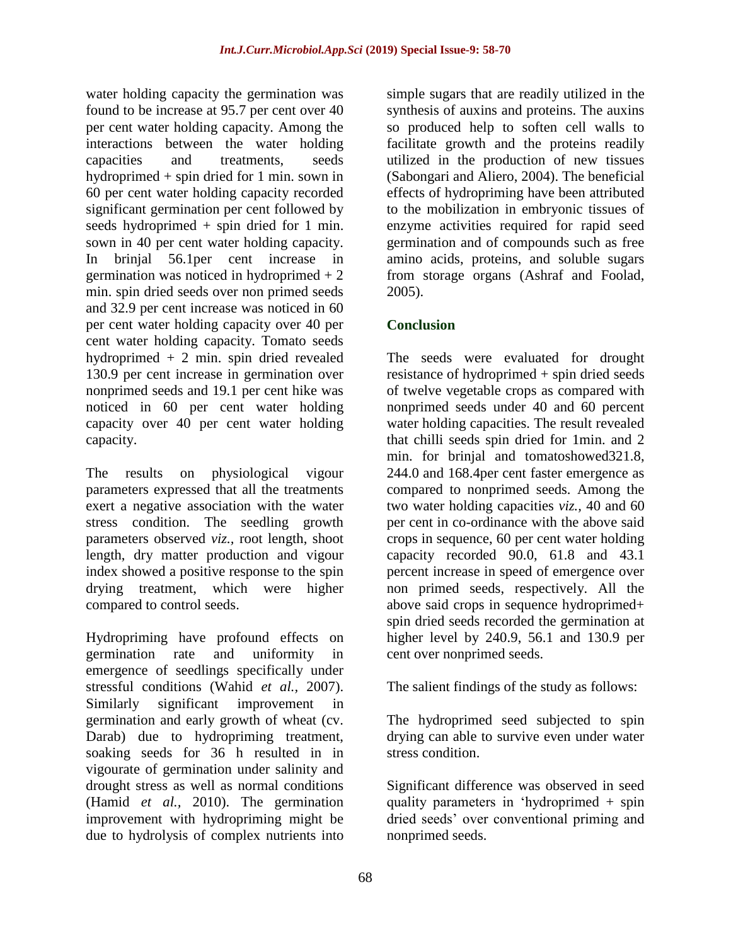water holding capacity the germination was found to be increase at 95.7 per cent over 40 per cent water holding capacity. Among the interactions between the water holding capacities and treatments, seeds hydroprimed + spin dried for 1 min. sown in 60 per cent water holding capacity recorded significant germination per cent followed by seeds hydroprimed + spin dried for 1 min. sown in 40 per cent water holding capacity. In brinjal 56.1per cent increase in germination was noticed in hydroprimed  $+2$ min. spin dried seeds over non primed seeds and 32.9 per cent increase was noticed in 60 per cent water holding capacity over 40 per cent water holding capacity. Tomato seeds hydroprimed + 2 min. spin dried revealed 130.9 per cent increase in germination over nonprimed seeds and 19.1 per cent hike was noticed in 60 per cent water holding capacity over 40 per cent water holding capacity.

The results on physiological vigour parameters expressed that all the treatments exert a negative association with the water stress condition. The seedling growth parameters observed *viz.,* root length, shoot length, dry matter production and vigour index showed a positive response to the spin drying treatment, which were higher compared to control seeds.

Hydropriming have profound effects on germination rate and uniformity in emergence of seedlings specifically under stressful conditions (Wahid *et al.,* 2007). Similarly significant improvement in germination and early growth of wheat (cv. Darab) due to hydropriming treatment, soaking seeds for 36 h resulted in in vigourate of germination under salinity and drought stress as well as normal conditions (Hamid *et al.,* 2010). The germination improvement with hydropriming might be due to hydrolysis of complex nutrients into

simple sugars that are readily utilized in the synthesis of auxins and proteins. The auxins so produced help to soften cell walls to facilitate growth and the proteins readily utilized in the production of new tissues (Sabongari and Aliero, 2004). The beneficial effects of hydropriming have been attributed to the mobilization in embryonic tissues of enzyme activities required for rapid seed germination and of compounds such as free amino acids, proteins, and soluble sugars from storage organs (Ashraf and Foolad, 2005).

# **Conclusion**

The seeds were evaluated for drought resistance of hydroprimed + spin dried seeds of twelve vegetable crops as compared with nonprimed seeds under 40 and 60 percent water holding capacities. The result revealed that chilli seeds spin dried for 1min. and 2 min. for brinjal and tomatoshowed321.8, 244.0 and 168.4per cent faster emergence as compared to nonprimed seeds. Among the two water holding capacities *viz.,* 40 and 60 per cent in co-ordinance with the above said crops in sequence, 60 per cent water holding capacity recorded 90.0, 61.8 and 43.1 percent increase in speed of emergence over non primed seeds, respectively. All the above said crops in sequence hydroprimed+ spin dried seeds recorded the germination at higher level by 240.9, 56.1 and 130.9 per cent over nonprimed seeds.

The salient findings of the study as follows:

The hydroprimed seed subjected to spin drying can able to survive even under water stress condition.

Significant difference was observed in seed quality parameters in 'hydroprimed + spin dried seeds' over conventional priming and nonprimed seeds.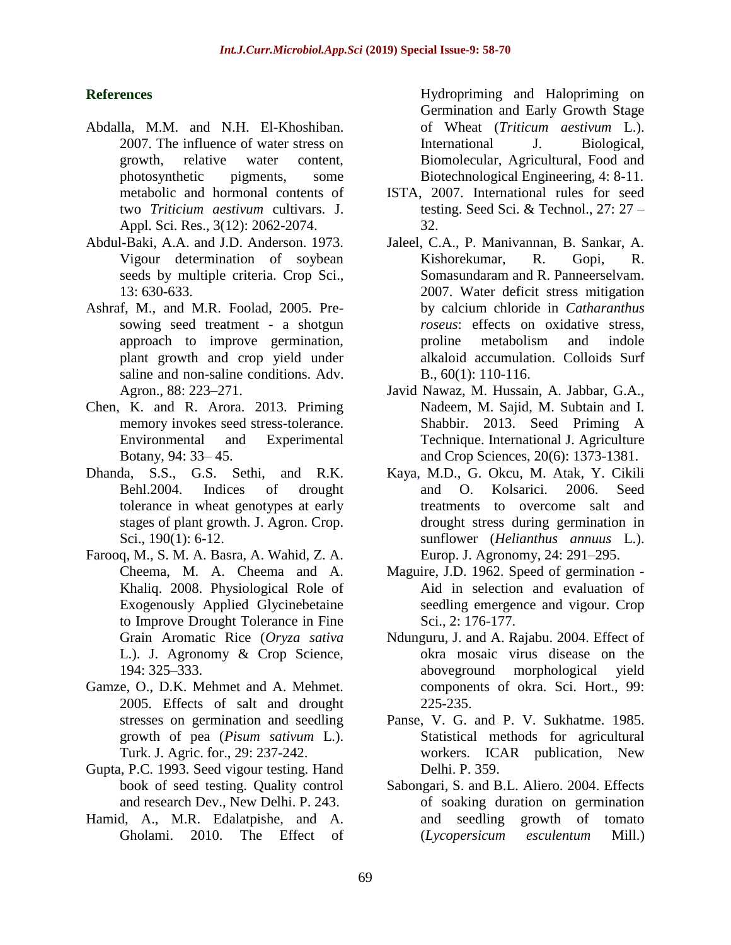## **References**

- Abdalla, M.M. and N.H. El-Khoshiban. 2007. The influence of water stress on growth, relative water content, photosynthetic pigments, some metabolic and hormonal contents of two *Triticium aestivum* cultivars. J. Appl. Sci. Res., 3(12): 2062-2074.
- Abdul-Baki, A.A. and J.D. Anderson. 1973. Vigour determination of soybean seeds by multiple criteria. Crop Sci., 13: 630-633.
- Ashraf, M., and M.R. Foolad, 2005. Presowing seed treatment - a shotgun approach to improve germination, plant growth and crop yield under saline and non-saline conditions. Adv. Agron., 88: 223–271.
- Chen, K. and R. Arora. 2013. Priming memory invokes seed stress-tolerance. Environmental and Experimental Botany, 94: 33– 45.
- Dhanda, S.S., G.S. Sethi, and R.K. Behl.2004. Indices of drought tolerance in wheat genotypes at early stages of plant growth. J. Agron. Crop. Sci., 190(1): 6-12.
- Farooq, M., S. M. A. Basra, A. Wahid, Z. A. Cheema, M. A. Cheema and A. Khaliq. 2008. Physiological Role of Exogenously Applied Glycinebetaine to Improve Drought Tolerance in Fine Grain Aromatic Rice (*Oryza sativa*  L.). J. Agronomy & Crop Science, 194: 325–333.
- Gamze, O., D.K. Mehmet and A. Mehmet. 2005. Effects of salt and drought stresses on germination and seedling growth of pea (*Pisum sativum* L.). Turk. J. Agric. for., 29: 237-242.
- Gupta, P.C. 1993. Seed vigour testing. Hand book of seed testing. Quality control and research Dev., New Delhi. P. 243.
- Hamid, A., M.R. Edalatpishe, and A. Gholami. 2010. The Effect of

Hydropriming and Halopriming on Germination and Early Growth Stage of Wheat (*Triticum aestivum* L.). International J. Biological, Biomolecular, Agricultural, Food and Biotechnological Engineering, 4: 8-11.

- ISTA, 2007. International rules for seed testing. Seed Sci. & Technol., 27: 27 – 32.
- Jaleel, C.A., P. Manivannan, B. Sankar, A. Kishorekumar, R. Gopi, R. Somasundaram and R. Panneerselvam. 2007. Water deficit stress mitigation by calcium chloride in *Catharanthus roseus*: effects on oxidative stress, proline metabolism and indole alkaloid accumulation. Colloids Surf B., 60(1): 110-116.
- Javid Nawaz, M. Hussain, A. Jabbar, G.A., Nadeem, M. Sajid, M. Subtain and I. Shabbir. 2013. Seed Priming A Technique. International J. Agriculture and Crop Sciences, 20(6): 1373-1381.
- Kaya, M.D., G. Okcu, M. Atak, Y. Cikili and O. Kolsarici. 2006. Seed treatments to overcome salt and drought stress during germination in sunflower (*Helianthus annuus* L.). Europ. J. Agronomy, 24: 291–295.
- Maguire, J.D. 1962. Speed of germination Aid in selection and evaluation of seedling emergence and vigour. Crop Sci., 2: 176-177.
- Ndunguru, J. and A. Rajabu. 2004. Effect of okra mosaic virus disease on the aboveground morphological yield components of okra. Sci. Hort., 99: 225-235.
- Panse, V. G. and P. V. Sukhatme. 1985. Statistical methods for agricultural workers. ICAR publication, New Delhi. P. 359.
- Sabongari, S. and B.L. Aliero. 2004. Effects of soaking duration on germination and seedling growth of tomato (*Lycopersicum esculentum* Mill.)